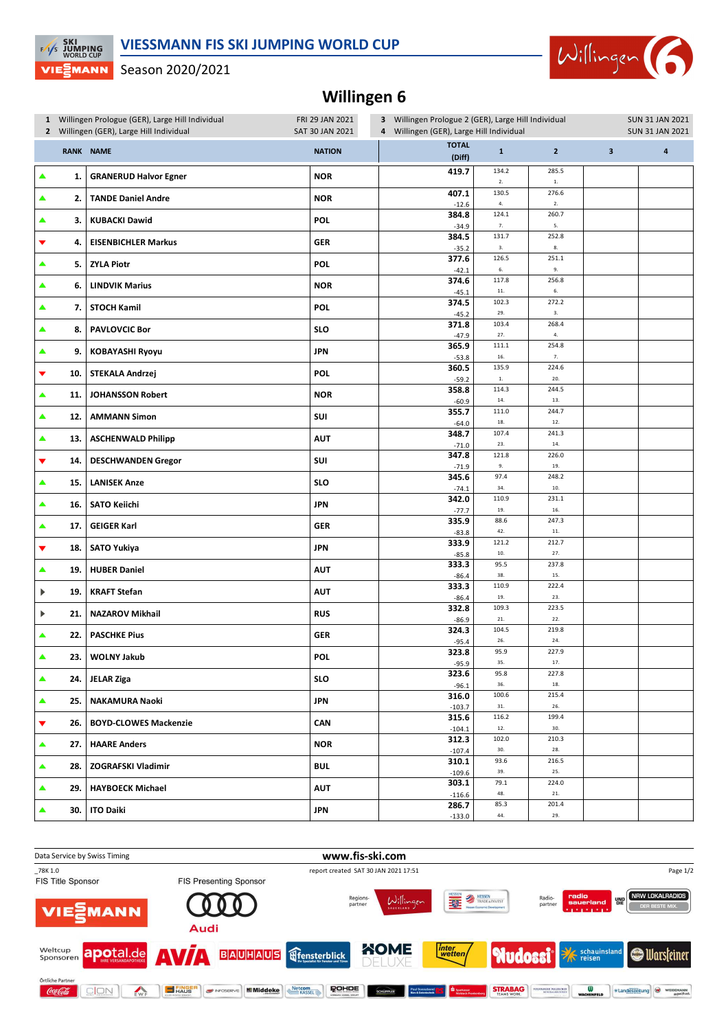## **VIESSMANN FIS SKI JUMPING WORLD CUP**



VIE EMANN Season 2020/2021

**EXECUTE SKI**<br>EXP JUMPING<br>WORLD CUP

## **Willingen 6**

|   | 1 Willingen Prologue (GER), Large Hill Individual<br>2 Willingen (GER), Large Hill Individual |                              | FRI 29 JAN 2021<br>3 Willingen Prologue 2 (GER), Large Hill Individual<br>SAT 30 JAN 2021<br>4 Willingen (GER), Large Hill Individual |                        |                         |                        | <b>SUN 31 JAN 2021</b><br><b>SUN 31 JAN 2021</b> |                         |  |
|---|-----------------------------------------------------------------------------------------------|------------------------------|---------------------------------------------------------------------------------------------------------------------------------------|------------------------|-------------------------|------------------------|--------------------------------------------------|-------------------------|--|
|   |                                                                                               | <b>RANK NAME</b>             | <b>NATION</b>                                                                                                                         | <b>TOTAL</b><br>(Diff) | $\mathbf 1$             | $\overline{2}$         | $\overline{\mathbf{3}}$                          | $\overline{\mathbf{4}}$ |  |
| ▲ | 1.                                                                                            | <b>GRANERUD Halvor Egner</b> | <b>NOR</b>                                                                                                                            | 419.7                  | 134.2<br>2.             | 285.5<br>$\mathbf{1}.$ |                                                  |                         |  |
| ▲ | 2.                                                                                            | <b>TANDE Daniel Andre</b>    | <b>NOR</b>                                                                                                                            | 407.1<br>$-12.6$       | 130.5<br>4.             | 276.6<br>2.            |                                                  |                         |  |
| ▲ | 3.                                                                                            | <b>KUBACKI Dawid</b>         | <b>POL</b>                                                                                                                            | 384.8<br>$-34.9$       | 124.1<br>7.             | 260.7<br>5.            |                                                  |                         |  |
| ▼ | 4.                                                                                            | <b>EISENBICHLER Markus</b>   | GER                                                                                                                                   | 384.5<br>$-35.2$       | 131.7<br>3.             | 252.8<br>$\bf 8.$      |                                                  |                         |  |
| ▲ | 5.                                                                                            | <b>ZYLA Piotr</b>            | <b>POL</b>                                                                                                                            | 377.6<br>$-42.1$       | 126.5<br>6.             | 251.1<br>9.            |                                                  |                         |  |
| ▲ | 6.                                                                                            | <b>LINDVIK Marius</b>        | <b>NOR</b>                                                                                                                            | 374.6<br>$-45.1$       | 117.8<br>$\bf 11.$      | 256.8<br>$\mathbf{6}.$ |                                                  |                         |  |
| ▲ | 7.                                                                                            | <b>STOCH Kamil</b>           | <b>POL</b>                                                                                                                            | 374.5<br>$-45.2$       | 102.3<br>29.            | 272.2<br>3.            |                                                  |                         |  |
| ▲ | 8.                                                                                            | <b>PAVLOVCIC Bor</b>         | <b>SLO</b>                                                                                                                            | 371.8<br>$-47.9$       | 103.4<br>27.            | 268.4<br>$\mathbf{4}.$ |                                                  |                         |  |
| ▲ | 9.                                                                                            | <b>KOBAYASHI Ryoyu</b>       | <b>JPN</b>                                                                                                                            | 365.9                  | 111.1<br>$16.$          | 254.8<br>$7. \,$       |                                                  |                         |  |
| ▼ | 10.                                                                                           | STEKALA Andrzej              | <b>POL</b>                                                                                                                            | $-53.8$<br>360.5       | 135.9<br>$\mathbf{1}.$  | 224.6<br>20.           |                                                  |                         |  |
| ▲ | 11.                                                                                           | <b>JOHANSSON Robert</b>      | <b>NOR</b>                                                                                                                            | $-59.2$<br>358.8       | 114.3                   | 244.5                  |                                                  |                         |  |
| ▲ | 12.                                                                                           | <b>AMMANN Simon</b>          | SUI                                                                                                                                   | $-60.9$<br>355.7       | $\mathbf{14}.$<br>111.0 | 13.<br>244.7           |                                                  |                         |  |
| ▲ | 13.                                                                                           | <b>ASCHENWALD Philipp</b>    | <b>AUT</b>                                                                                                                            | $-64.0$<br>348.7       | $18. \,$<br>107.4       | 12.<br>241.3           |                                                  |                         |  |
| ▼ | 14.                                                                                           | <b>DESCHWANDEN Gregor</b>    | SUI                                                                                                                                   | $-71.0$<br>347.8       | 23.<br>121.8            | 14.<br>226.0           |                                                  |                         |  |
| ▲ | 15.                                                                                           | <b>LANISEK Anze</b>          | <b>SLO</b>                                                                                                                            | $-71.9$<br>345.6       | 9.<br>97.4              | 19.<br>248.2           |                                                  |                         |  |
| ▲ | 16.                                                                                           | <b>SATO Keiichi</b>          | <b>JPN</b>                                                                                                                            | $-74.1$<br>342.0       | 34.<br>110.9            | 10.<br>231.1           |                                                  |                         |  |
| ▲ | 17.                                                                                           | <b>GEIGER Karl</b>           | <b>GER</b>                                                                                                                            | $-77.7$<br>335.9       | 19.<br>88.6             | 16.<br>247.3           |                                                  |                         |  |
| ▼ | 18.                                                                                           | <b>SATO Yukiya</b>           | <b>JPN</b>                                                                                                                            | $-83.8$<br>333.9       | 42.<br>121.2            | $11. \,$<br>212.7      |                                                  |                         |  |
| ▲ | 19.                                                                                           | <b>HUBER Daniel</b>          | <b>AUT</b>                                                                                                                            | $-85.8$<br>333.3       | 10.<br>95.5             | 27.<br>237.8           |                                                  |                         |  |
| ▶ | 19.                                                                                           | <b>KRAFT Stefan</b>          | <b>AUT</b>                                                                                                                            | $-86.4$<br>333.3       | 38.<br>110.9            | 15.<br>222.4           |                                                  |                         |  |
| ▶ | 21.                                                                                           | <b>NAZAROV Mikhail</b>       | <b>RUS</b>                                                                                                                            | $-86.4$<br>332.8       | 19.<br>109.3            | 23.<br>223.5           |                                                  |                         |  |
| ▲ | 22.                                                                                           | <b>PASCHKE Pius</b>          | <b>GER</b>                                                                                                                            | $-86.9$<br>324.3       | ${\bf 21}.$<br>104.5    | $22.$<br>219.8         |                                                  |                         |  |
|   |                                                                                               | <b>WOLNY Jakub</b>           | <b>POL</b>                                                                                                                            | $-95.4$<br>323.8       | 26.<br>95.9             | 24.<br>227.9           |                                                  |                         |  |
| ▲ | 23.                                                                                           |                              |                                                                                                                                       | $-95.9$<br>323.6       | 35.<br>95.8             | $17. \,$<br>227.8      |                                                  |                         |  |
| ▲ | 24.                                                                                           | <b>JELAR Ziga</b>            | <b>SLO</b>                                                                                                                            | $-96.1$<br>316.0       | 36.<br>100.6            | 18.<br>215.4           |                                                  |                         |  |
| ▲ | 25.                                                                                           | NAKAMURA Naoki               | JPN                                                                                                                                   | $-103.7$<br>315.6      | 31.<br>116.2            | 26.<br>199.4           |                                                  |                         |  |
| ▼ | 26.                                                                                           | <b>BOYD-CLOWES Mackenzie</b> | CAN                                                                                                                                   | $-104.1$<br>312.3      | $12. \,$<br>102.0       | 30.<br>210.3           |                                                  |                         |  |
| ▲ | 27.                                                                                           | <b>HAARE Anders</b>          | <b>NOR</b>                                                                                                                            | $-107.4$<br>310.1      | 30.<br>93.6             | 28.<br>216.5           |                                                  |                         |  |
| ▲ | 28.                                                                                           | ZOGRAFSKI Vladimir           | BUL                                                                                                                                   | $-109.6$<br>303.1      | 39.<br>79.1             | 25.<br>224.0           |                                                  |                         |  |
| ▲ | 29.1                                                                                          | <b>HAYBOECK Michael</b>      | AUT                                                                                                                                   | $-116.6$               | 48.                     | 21.<br>201.4           |                                                  |                         |  |
| ▲ | 30.                                                                                           | <b>ITO Daiki</b>             | <b>JPN</b>                                                                                                                            | 286.7<br>$-133.0$      | 85.3<br>44.             | 29.                    |                                                  |                         |  |